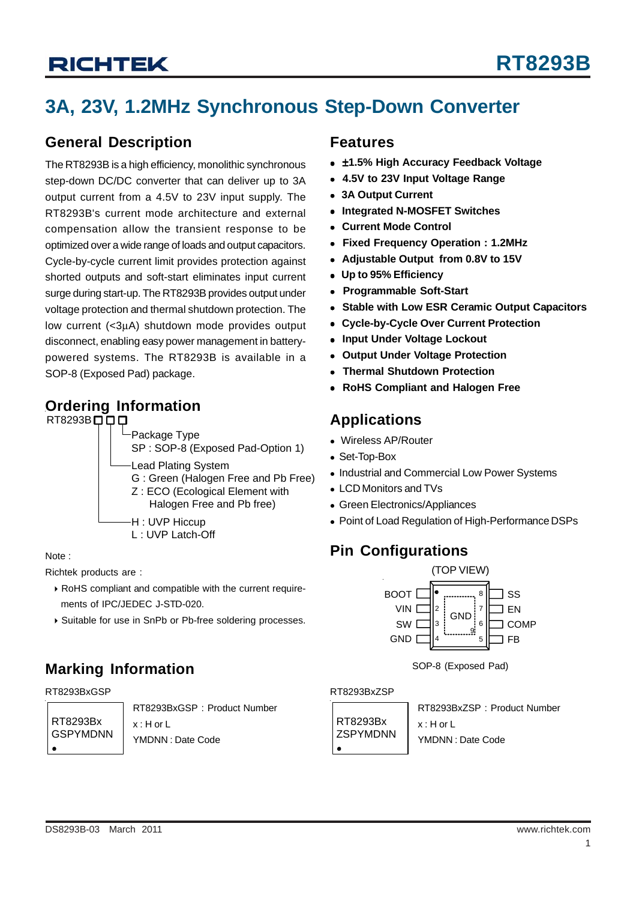# **3A, 23V, 1.2MHz Synchronous Step-Down Converter**

#### **General Description**

The RT8293B is a high efficiency, monolithic synchronous step-down DC/DC converter that can deliver up to 3A output current from a 4.5V to 23V input supply. The RT8293B's current mode architecture and external compensation allow the transient response to be optimized over a wide range of loads and output capacitors. Cycle-by-cycle current limit provides protection against shorted outputs and soft-start eliminates input current surge during start-up. The RT8293B provides output under voltage protection and thermal shutdown protection. The low current (<3μA) shutdown mode provides output disconnect, enabling easy power management in batterypowered systems. The RT8293B is available in a SOP-8 (Exposed Pad) package.

### **Ordering Information**



Note :

Richtek products are :

- ` RoHS compliant and compatible with the current require ments of IPC/JEDEC J-STD-020.
- ` Suitable for use in SnPb or Pb-free soldering processes.

### **Marking Information**

#### RT8293BxGSP RT8293BxZSP

RT8293Bx GSPYMDNN RT8293BxGSP : Product Number x : H or L YMDNN : Date Code

### **Features**

- $\bullet$  ±1.5% High Accuracy Feedback Voltage
- <sup>z</sup> **4.5V to 23V Input Voltage Range**
- <sup>z</sup> **3A Output Current**
- <sup>z</sup> **Integrated N-MOSFET Switches**
- <sup>z</sup> **Current Mode Control**
- <sup>z</sup> **Fixed Frequency Operation : 1.2MHz**
- <sup>z</sup> **Adjustable Output from 0.8V to 15V**
- <sup>z</sup> **Up to 95% Efficiency**
- <sup>z</sup> **Programmable Soft-Start**
- **Stable with Low ESR Ceramic Output Capacitors**
- <sup>z</sup> **Cycle-by-Cycle Over Current Protection**
- **Input Under Voltage Lockout**
- <sup>z</sup> **Output Under Voltage Protection**
- **Thermal Shutdown Protection**
- <sup>z</sup> **RoHS Compliant and Halogen Free**

### **Applications**

- Wireless AP/Router
- Set-Top-Box
- Industrial and Commercial Low Power Systems
- LCD Monitors and TVs
- Green Electronics/Appliances
- Point of Load Regulation of High-Performance DSPs

### **Pin Configurations**



SOP-8 (Exposed Pad)

RT8293Bx **ZSPYMDNN**  $\bullet$ 

RT8293BxZSP : Product Number x : H or L YMDNN : Date Code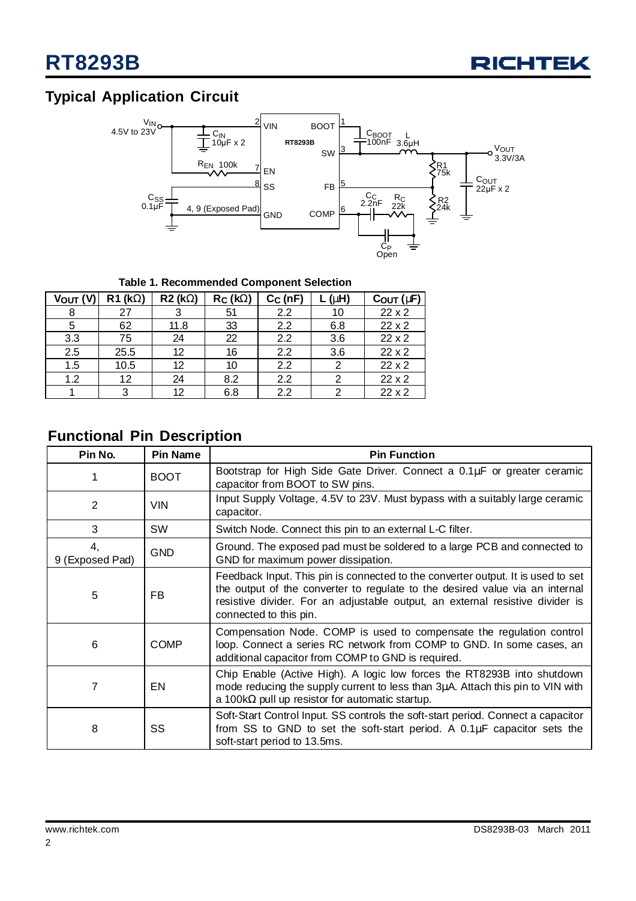

### **Typical Application Circuit**



#### **Table 1. Recommended Component Selection**

| Vout (V | $R1$ (kW)         | <b>R2 (kW)</b> | $R_C$ (kW) | $C_C(nF)$        | (mH) | $C_{OUT}$ ( $mF$ ) |
|---------|-------------------|----------------|------------|------------------|------|--------------------|
| 8       | 27                | 3              | 51         | $2.2\,$          | 10   | 22x2               |
| 5       | 62                | 11.8           | 33         | $2.2\,$          | 6.8  | 22x2               |
| 3.3     | 75                | 24             | 22         | 2.2              | 3.6  | $22 \times 2$      |
| 2.5     | 25.5              | 12             | 16         | $2.2\phantom{0}$ | 3.6  | 22x2               |
| 1.5     | 10.5              | 12             | 10         | 2.2              | 2    | 22x2               |
| 1.2     | $12 \overline{ }$ | 24             | 8.2        | 2.2              | 2    | $22 \times 2$      |
|         | 3                 | 12             | 6.8        | 2.2              | 2    | $22 \times 2$      |

### **Functional Pin Description**

| Pin No.               | Pin Name    | <b>Pin Function</b>                                                                                                                                                                                                                                                         |
|-----------------------|-------------|-----------------------------------------------------------------------------------------------------------------------------------------------------------------------------------------------------------------------------------------------------------------------------|
| 1                     | <b>BOOT</b> | Bootstrap for High Side Gate Driver. Connect a 0.1µF or greater ceramic<br>capacitor from BOOT to SW pins.                                                                                                                                                                  |
| 2                     | <b>VIN</b>  | Input Supply Voltage, 4.5V to 23V. Must bypass with a suitably large ceramic<br>capacitor.                                                                                                                                                                                  |
| 3                     | SW          | Switch Node. Connect this pin to an external L-C filter.                                                                                                                                                                                                                    |
| 4,<br>9 (Exposed Pad) | <b>GND</b>  | Ground. The exposed pad must be soldered to a large PCB and connected to<br>GND for maximum power dissipation.                                                                                                                                                              |
| 5                     | FB.         | Feedback Input. This pin is connected to the converter output. It is used to set<br>the output of the converter to regulate to the desired value via an internal<br>resistive divider. For an adjustable output, an external resistive divider is<br>connected to this pin. |
| 6                     | <b>COMP</b> | Compensation Node. COMP is used to compensate the regulation control<br>loop. Connect a series RC network from COMP to GND. In some cases, an<br>additional capacitor from COMP to GND is required.                                                                         |
| 7                     | EN          | Chip Enable (Active High). A logic low forces the RT8293B into shutdown<br>mode reducing the supply current to less than 3µA. Attach this pin to VIN with<br>a 100k $\Omega$ pull up resistor for automatic startup.                                                        |
| 8                     | SS          | Soft-Start Control Input. SS controls the soft-start period. Connect a capacitor<br>from SS to GND to set the soft-start period. A $0.1 \mu$ F capacitor sets the<br>soft-start period to 13.5ms.                                                                           |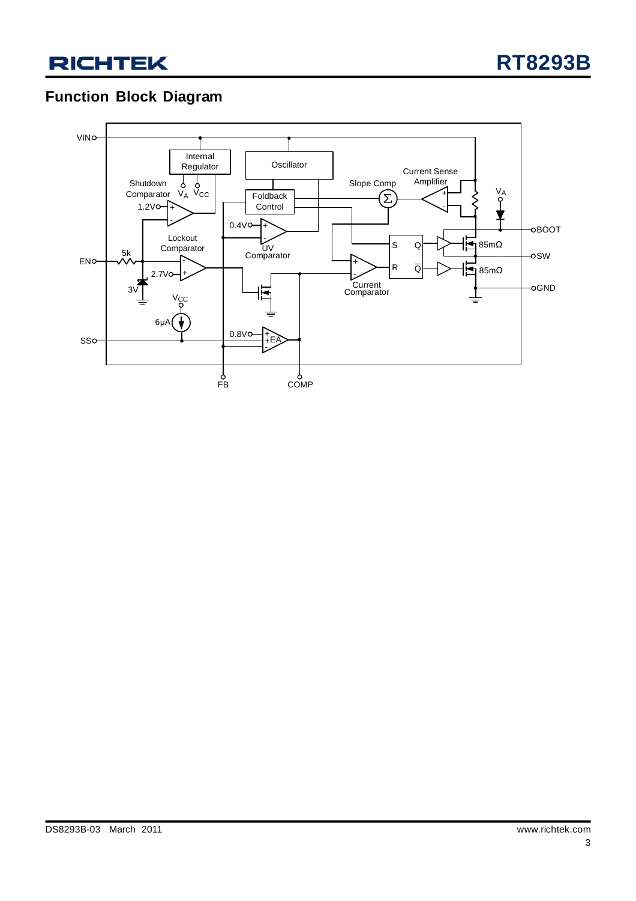### **Function Block Diagram**

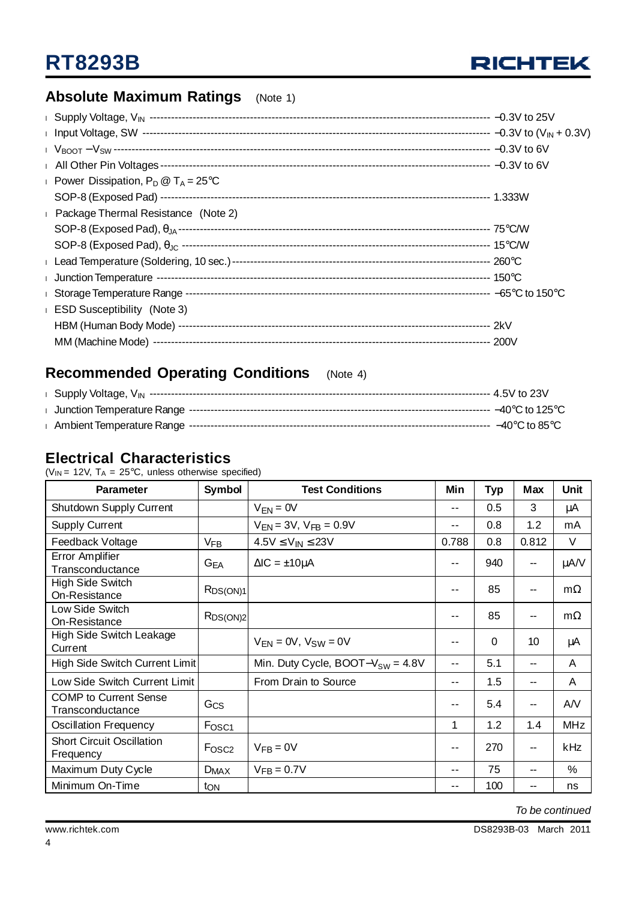

### **Absolute Maximum Ratings** (Note 1)

| <b>Power Dissipation, P<sub>D</sub></b> $\textcircled{1}$ T <sub>A</sub> = 25 <sup>o</sup> C |  |
|----------------------------------------------------------------------------------------------|--|
|                                                                                              |  |
| Package Thermal Resistance (Note 2)                                                          |  |
|                                                                                              |  |
|                                                                                              |  |
|                                                                                              |  |
|                                                                                              |  |
|                                                                                              |  |
| <b>ESD Susceptibility</b> (Note 3)                                                           |  |
|                                                                                              |  |
|                                                                                              |  |
|                                                                                              |  |

### **Recommended Operating Conditions** (Note 4)

#### **Electrical Characteristics**

( $V_{IN}$  = 12V,  $T_A$  = 25°C, unless otherwise specified)

| <b>Parameter</b>                                 | <b>Symbol</b>     | <b>Test Conditions</b>                 | Min   | <b>Typ</b> | Max                      | <b>Unit</b> |
|--------------------------------------------------|-------------------|----------------------------------------|-------|------------|--------------------------|-------------|
| Shutdown Supply Current                          |                   | $V_{FN} = 0V$                          | --    | 0.5        | 3                        | μA          |
| <b>Supply Current</b>                            |                   | $V_{EN} = 3V$ , $V_{FB} = 0.9V$        | $ -$  | 0.8        | 1.2                      | mA          |
| Feedback Voltage                                 | $V_{FB}$          | $4.5V \leq V_{IN} \leq 23V$            | 0.788 | 0.8        | 0.812                    | V           |
| Error Amplifier<br>Transconductance              | $G_{EA}$          | $\Delta$ IC = $\pm$ 10 $\mu$ A         | --    | 940        | $\overline{\phantom{a}}$ | μA/V        |
| High Side Switch<br>On-Resistance                | RDS(ON)1          |                                        | --    | 85         | --                       | $m\Omega$   |
| Low Side Switch<br>On-Resistance                 | $R_{DS(ON)2}$     |                                        |       | 85         | --                       | $m\Omega$   |
| <b>High Side Switch Leakage</b><br>Current       |                   | $V_{FN} = 0V$ , $V_{SW} = 0V$          |       | 0          | 10                       | μA          |
| High Side Switch Current Limit                   |                   | Min. Duty Cycle, BOOT- $V_{SW} = 4.8V$ | $ -$  | 5.1        | --                       | A           |
| Low Side Switch Current Limit                    |                   | From Drain to Source                   | $- -$ | 1.5        | --                       | A           |
| <b>COMP</b> to Current Sense<br>Transconductance | Gcs               |                                        | $- -$ | 5.4        | --                       | AN          |
| <b>Oscillation Frequency</b>                     | F <sub>OSC1</sub> |                                        | 1     | 1.2        | 1.4                      | <b>MHz</b>  |
| <b>Short Circuit Oscillation</b><br>Frequency    | F <sub>OSC2</sub> | $V_{FB} = 0V$                          | --    | 270        | $\overline{\phantom{a}}$ | kHz         |
| Maximum Duty Cycle                               | $D_{MAX}$         | $V_{FB} = 0.7V$                        | --    | 75         | --                       | %           |
| Minimum On-Time                                  | ton               |                                        | --    | 100        | --                       | ns          |

*To be continued*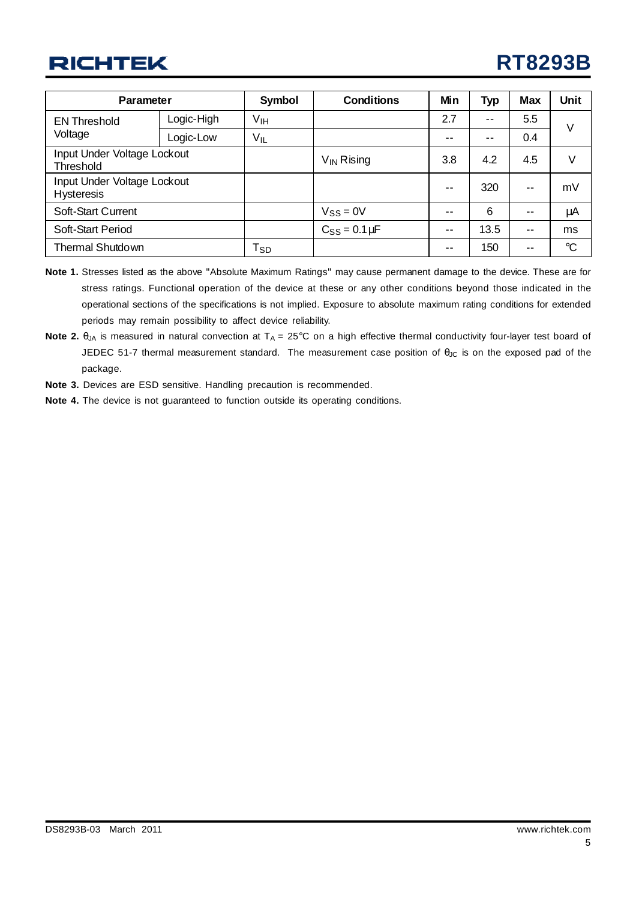# **RT8293B**

| <b>Parameter</b>                                 |            | <b>Symbol</b>              | <b>Conditions</b>    | Min           | Typ  | <b>Max</b>               | <b>Unit</b>     |
|--------------------------------------------------|------------|----------------------------|----------------------|---------------|------|--------------------------|-----------------|
| <b>EN Threshold</b>                              | Logic-High | V <sub>IH</sub>            |                      | 2.7           | $ -$ | 5.5                      | V               |
| Voltage                                          | Logic-Low  | V <sub>IL</sub>            |                      | --            | $ -$ | 0.4                      |                 |
| Input Under Voltage Lockout<br>Threshold         |            |                            | $V_{IN}$ Rising      | 3.8           | 4.2  | 4.5                      | ٧               |
| Input Under Voltage Lockout<br><b>Hysteresis</b> |            |                            |                      | $\sim$ $\sim$ | 320  | $\overline{\phantom{a}}$ | mV              |
| Soft-Start Current                               |            |                            | $V_{SS} = 0V$        | --            | 6    | --                       | μA              |
| Soft-Start Period                                |            |                            | $C_{SS} = 0.1 \mu F$ | --            | 13.5 | $- -$                    | ms              |
| <b>Thermal Shutdown</b>                          |            | $\mathsf{T}_{\mathsf{SD}}$ |                      | --            | 150  | $- -$                    | $\rm ^{\circ}C$ |

- **Note 1.** Stresses listed as the above "Absolute Maximum Ratings" may cause permanent damage to the device. These are for stress ratings. Functional operation of the device at these or any other conditions beyond those indicated in the operational sections of the specifications is not implied. Exposure to absolute maximum rating conditions for extended periods may remain possibility to affect device reliability.
- **Note 2.** θ<sub>JA</sub> is measured in natural convection at T<sub>A</sub> = 25°C on a high effective thermal conductivity four-layer test board of JEDEC 51-7 thermal measurement standard. The measurement case position of θ<sub>JC</sub> is on the exposed pad of the package.
- **Note 3.** Devices are ESD sensitive. Handling precaution is recommended.
- **Note 4.** The device is not guaranteed to function outside its operating conditions.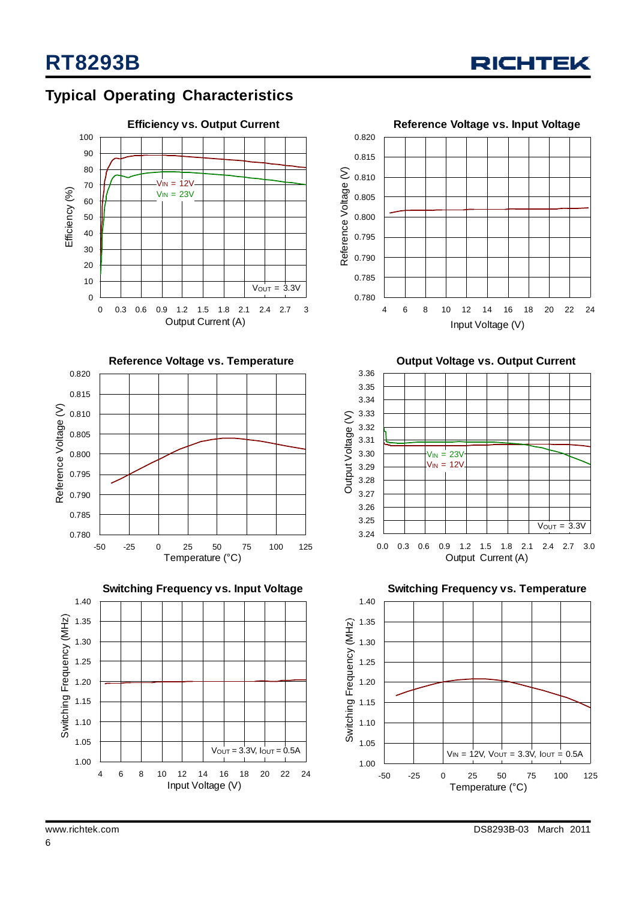

### **Typical Operating Characteristics**









**Output Voltage vs. Output Current**



**Switching Frequency vs. Temperature** 1.00 1.05 1.10 1.15 1.20 1.25 1.30 1.35 1.40 -50 -25 0 25 50 75 100 125 Temperature (°C) S witching Frequency (M  $\widetilde{H}$  $V_{IN} = 12V$ ,  $V_{OUT} = 3.3V$ ,  $I_{OUT} = 0.5A$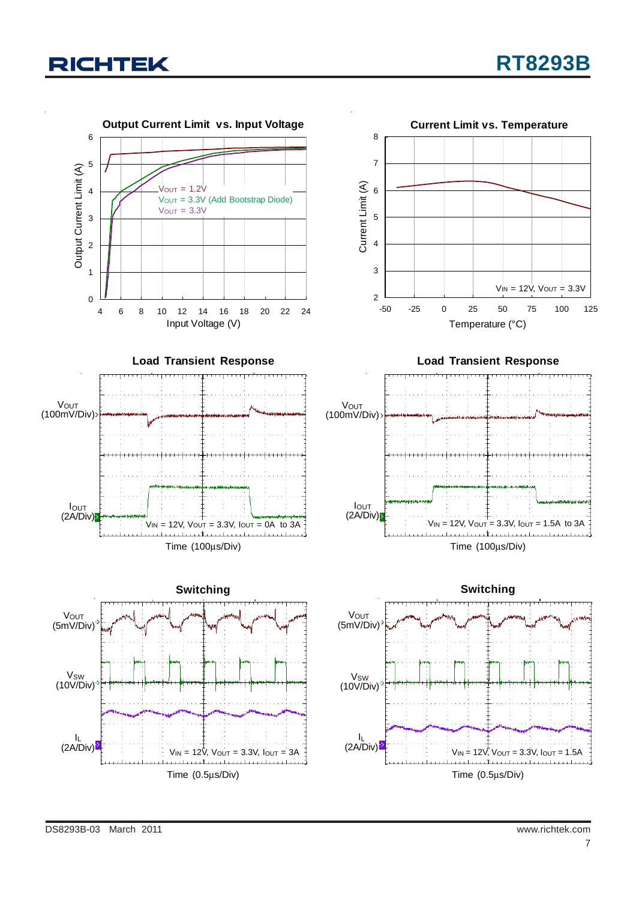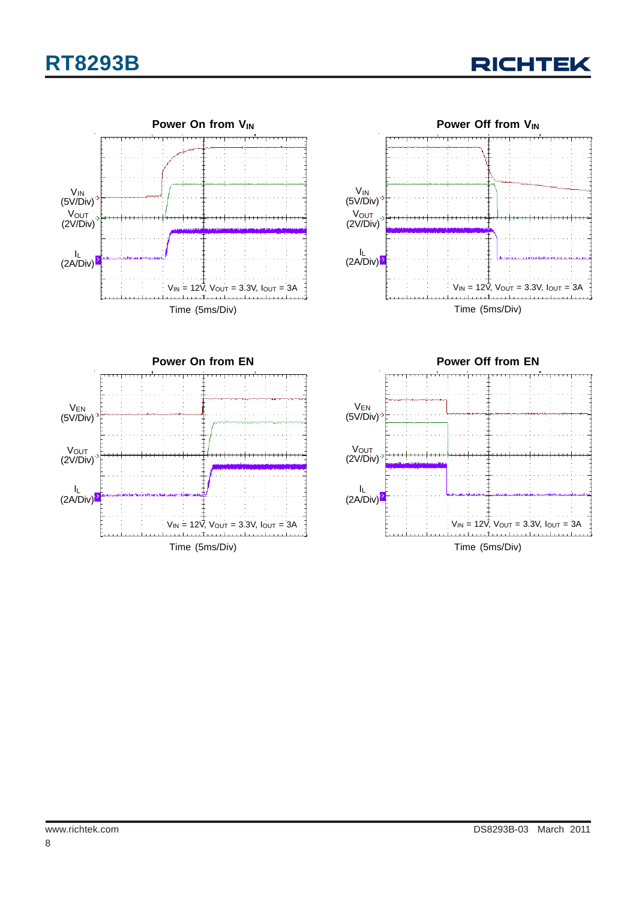# **RT8293B**











Time (5ms/Div)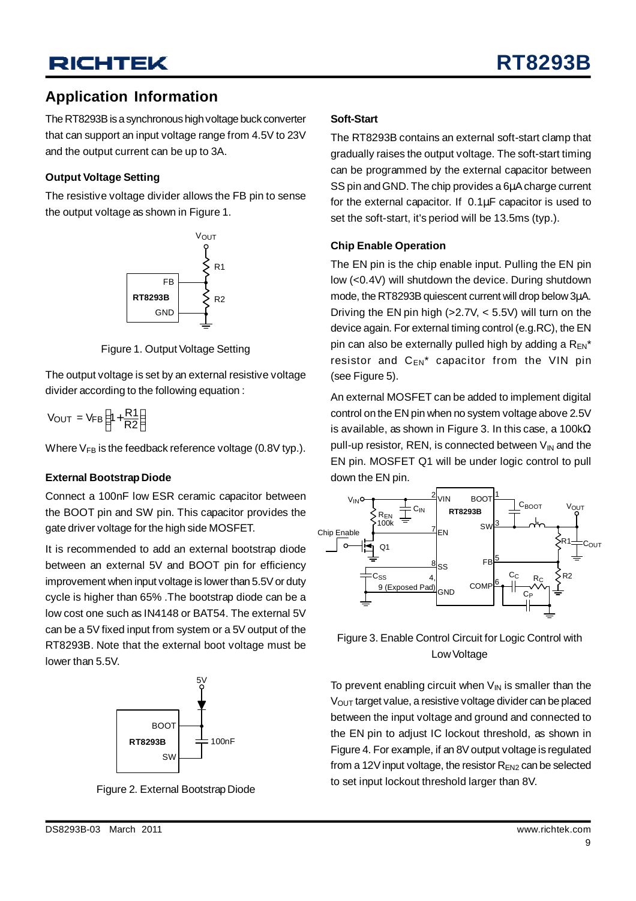### **Application Information**

The RT8293B is a synchronous high voltage buck converter that can support an input voltage range from 4.5V to 23V and the output current can be up to 3A.

#### **Output Voltage Setting**

The resistive voltage divider allows the FB pin to sense the output voltage as shown in Figure 1.



Figure 1. Output Voltage Setting

The output voltage is set by an external resistive voltage divider according to the following equation :

$$
V_{OUT} = V_{FB} \left( 1 + \frac{R1}{R2} \right)
$$

Where  $V_{FB}$  is the feedback reference voltage (0.8V typ.).

#### **External Bootstrap Diode**

Connect a 100nF low ESR ceramic capacitor between the BOOT pin and SW pin. This capacitor provides the gate driver voltage for the high side MOSFET.

It is recommended to add an external bootstrap diode between an external 5V and BOOT pin for efficiency improvement when input voltage is lower than 5.5V or duty cycle is higher than 65% .The bootstrap diode can be a low cost one such as IN4148 or BAT54. The external 5V can be a 5V fixed input from system or a 5V output of the RT8293B. Note that the external boot voltage must be lower than 5.5V.



Figure 2. External Bootstrap Diode

#### **Soft-Start**

The RT8293B contains an external soft-start clamp that gradually raises the output voltage. The soft-start timing can be programmed by the external capacitor between SS pin and GND. The chip provides a 6μA charge current for the external capacitor. If 0.1μF capacitor is used to set the soft-start, it's period will be 13.5ms (typ.).

#### **Chip Enable Operation**

The EN pin is the chip enable input. Pulling the EN pin low (<0.4V) will shutdown the device. During shutdown mode, the RT8293B quiescent current will drop below 3μA. Driving the EN pin high  $(>2.7V, < 5.5V)$  will turn on the device again. For external timing control (e.g.RC), the EN pin can also be externally pulled high by adding a  $R_{EN}^*$ resistor and  $C_{EN}^*$  capacitor from the VIN pin (see Figure 5).

An external MOSFET can be added to implement digital control on the EN pin when no system voltage above 2.5V is available, as shown in Figure 3. In this case, a 100k $\Omega$ pull-up resistor, REN, is connected between  $V_{\text{IN}}$  and the EN pin. MOSFET Q1 will be under logic control to pull down the EN pin.



Figure 3. Enable Control Circuit for Logic Control with Low Voltage

To prevent enabling circuit when  $V_{IN}$  is smaller than the  $V<sub>OUT</sub>$  target value, a resistive voltage divider can be placed between the input voltage and ground and connected to the EN pin to adjust IC lockout threshold, as shown in Figure 4. For example, if an 8V output voltage is regulated from a 12V input voltage, the resistor  $R_{EN2}$  can be selected to set input lockout threshold larger than 8V.

9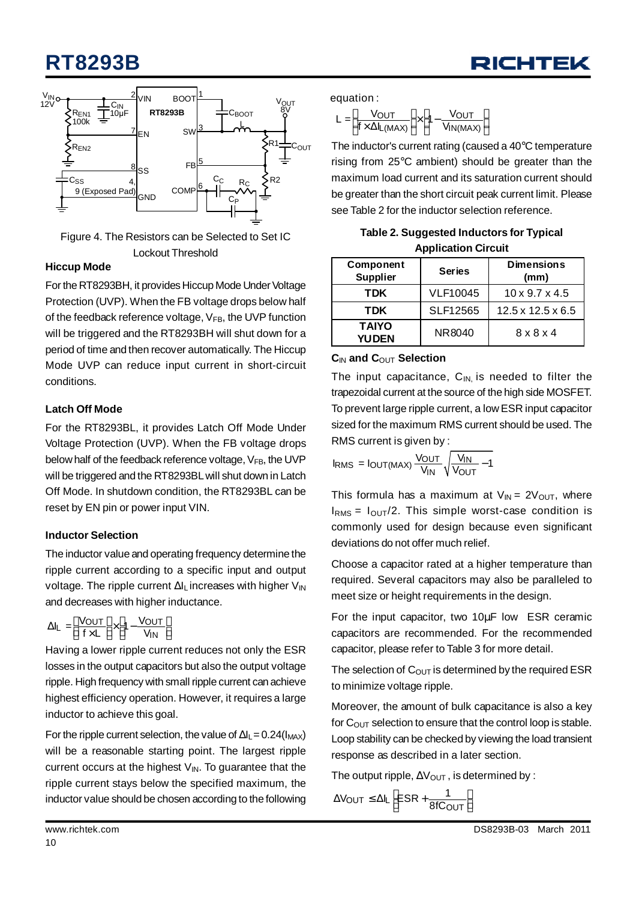# **RT8293B**





Figure 4. The Resistors can be Selected to Set IC Lockout Threshold

#### **Hiccup Mode**

For the RT8293BH, it provides Hiccup Mode Under Voltage Protection (UVP). When the FB voltage drops below half of the feedback reference voltage,  $V_{FB}$ , the UVP function will be triggered and the RT8293BH will shut down for a period of time and then recover automatically. The Hiccup Mode UVP can reduce input current in short-circuit conditions.

#### **Latch Off Mode**

For the RT8293BL, it provides Latch Off Mode Under Voltage Protection (UVP). When the FB voltage drops below half of the feedback reference voltage, VFB, the UVP will be triggered and the RT8293BL will shut down in Latch Off Mode. In shutdown condition, the RT8293BL can be reset by EN pin or power input VIN.

#### **Inductor Selection**

The inductor value and operating frequency determine the ripple current according to a specific input and output voltage. The ripple current  $\Delta I_L$  increases with higher  $V_{IN}$ and decreases with higher inductance.

$$
\Delta I_L = \left[ \frac{V_{OUT}}{f \times L} \right] \times \left[ 1 - \frac{V_{OUT}}{V_{IN}} \right]
$$

Having a lower ripple current reduces not only the ESR losses in the output capacitors but also the output voltage ripple. High frequency with small ripple current can achieve highest efficiency operation. However, it requires a large inductor to achieve this goal.

For the ripple current selection, the value of  $\Delta I_L$  = 0.24( $I_{MAX}$ ) will be a reasonable starting point. The largest ripple current occurs at the highest  $V_{\text{IN}}$ . To guarantee that the ripple current stays below the specified maximum, the inductor value should be chosen according to the following

equation :

$$
L = \left[\frac{V_{OUT}}{f \times \Delta I_{L(MAX)}}\right] \times \left[1 - \frac{V_{OUT}}{V_{IN(MAX)}}\right]
$$

The inductor's current rating (caused a 40°C temperature rising from 25°C ambient) should be greater than the maximum load current and its saturation current should be greater than the short circuit peak current limit. Please see Table 2 for the inductor selection reference.

| Table 2. Suggested Inductors for Typical |  |
|------------------------------------------|--|
| <b>Application Circuit</b>               |  |

| Component<br><b>Supplier</b> | <b>Series</b>   | <b>Dimensions</b><br>(mm)     |
|------------------------------|-----------------|-------------------------------|
| TDK                          | <b>VLF10045</b> | $10 \times 9.7 \times 4.5$    |
| TDK                          | SLF12565        | $12.5 \times 12.5 \times 6.5$ |
| <b>TAIYO</b><br><b>YUDEN</b> | NR8040          | $8 \times 8 \times 4$         |

#### $C<sub>IN</sub>$  and  $C<sub>OUT</sub>$  Selection

The input capacitance,  $C_{\text{IN}}$  is needed to filter the trapezoidal current at the source of the high side MOSFET. To prevent large ripple current, a low ESR input capacitor sized for the maximum RMS current should be used. The RMS current is given by :

$$
I_{RMS} = I_{OUT(MAX)} \frac{V_{OUT}}{V_{IN}} \sqrt{\frac{V_{IN}}{V_{OUT}} - 1}
$$

This formula has a maximum at  $V_{IN} = 2V_{OUT}$ , where  $I<sub>RMS</sub> = I<sub>OUT</sub>/2$ . This simple worst-case condition is commonly used for design because even significant deviations do not offer much relief.

Choose a capacitor rated at a higher temperature than required. Several capacitors may also be paralleled to meet size or height requirements in the design.

For the input capacitor, two 10μF low ESR ceramic capacitors are recommended. For the recommended capacitor, please refer to Table 3 for more detail.

The selection of  $C_{\text{OUT}}$  is determined by the required ESR to minimize voltage ripple.

Moreover, the amount of bulk capacitance is also a key for  $C_{\text{OUT}}$  selection to ensure that the control loop is stable. Loop stability can be checked by viewing the load transient response as described in a later section.

The output ripple,  $\Delta V_{\text{OUT}}$ , is determined by :

 $\Delta V_{\text{OUT}} \leq \Delta I_L \left[ \text{ESR} + \frac{1}{8f \text{C}_{\text{OUT}}} \right]$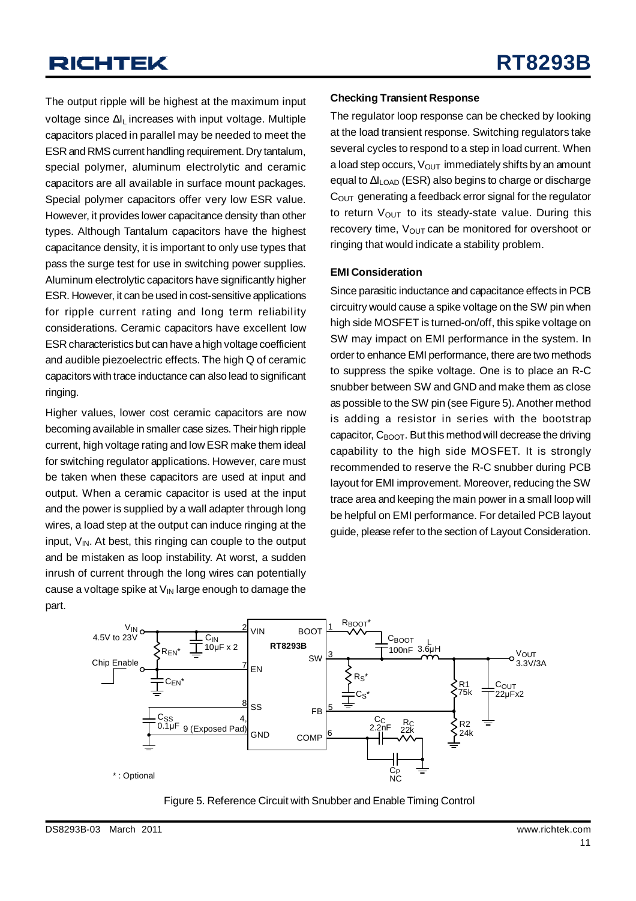The output ripple will be highest at the maximum input voltage since ΔIL increases with input voltage. Multiple capacitors placed in parallel may be needed to meet the ESR and RMS current handling requirement.Dry tantalum, special polymer, aluminum electrolytic and ceramic capacitors are all available in surface mount packages. Special polymer capacitors offer very low ESR value. However, it provides lower capacitance density than other types. Although Tantalum capacitors have the highest capacitance density, it is important to only use types that pass the surge test for use in switching power supplies. Aluminum electrolytic capacitors have significantly higher ESR. However, it can be used in cost-sensitive applications for ripple current rating and long term reliability considerations. Ceramic capacitors have excellent low ESR characteristics but can have a high voltage coefficient and audible piezoelectric effects. The high Q of ceramic capacitors with trace inductance can also lead to significant ringing.

Higher values, lower cost ceramic capacitors are now becoming available in smaller case sizes. Their high ripple current, high voltage rating and low ESR make them ideal for switching regulator applications. However, care must be taken when these capacitors are used at input and output. When a ceramic capacitor is used at the input and the power is supplied by a wall adapter through long wires, a load step at the output can induce ringing at the input,  $V_{IN}$ . At best, this ringing can couple to the output and be mistaken as loop instability. At worst, a sudden inrush of current through the long wires can potentially cause a voltage spike at  $V_{\text{IN}}$  large enough to damage the part.

#### **Checking Transient Response**

The regulator loop response can be checked by looking at the load transient response. Switching regulators take several cycles to respond to a step in load current. When a load step occurs,  $V_{\text{OUT}}$  immediately shifts by an amount equal to ΔILOAD (ESR) also begins to charge or discharge  $C<sub>OUT</sub>$  generating a feedback error signal for the regulator to return  $V_{\text{OUT}}$  to its steady-state value. During this recovery time,  $V_{\text{OUT}}$  can be monitored for overshoot or ringing that would indicate a stability problem.

#### **EMI Consideration**

Since parasitic inductance and capacitance effects in PCB circuitry would cause a spike voltage on the SW pin when high side MOSFET is turned-on/off, this spike voltage on SW may impact on EMI performance in the system. In order to enhance EMI performance, there are two methods to suppress the spike voltage. One is to place an R-C snubber between SW and GND and make them as close as possible to the SW pin (see Figure 5). Another method is adding a resistor in series with the bootstrap capacitor,  $C_{\text{BOOT}}$ . But this method will decrease the driving capability to the high side MOSFET. It is strongly recommended to reserve the R-C snubber during PCB layout for EMI improvement. Moreover, reducing the SW trace area and keeping the main power in a small loop will be helpful on EMI performance. For detailed PCB layout guide, please refer to the section of Layout Consideration.



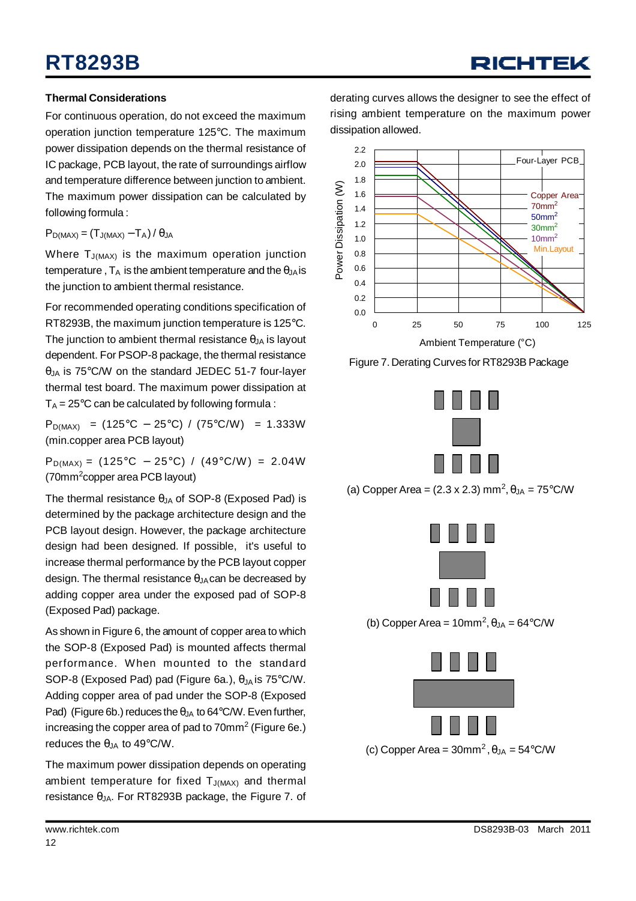# **RT8293B**

### RICHTEK

#### **Thermal Considerations**

For continuous operation, do not exceed the maximum operation junction temperature 125°C. The maximum power dissipation depends on the thermal resistance of IC package, PCB layout, the rate of surroundings airflow and temperature difference between junction to ambient. The maximum power dissipation can be calculated by following formula :

 $P_{D(MAX)} = (T_{J(MAX)} - T_A)/\theta_{JA}$ 

Where  $T_{J(MAX)}$  is the maximum operation junction temperature,  $T_A$  is the ambient temperature and the  $\theta_{JA}$  is the junction to ambient thermal resistance.

For recommended operating conditions specification of RT8293B, the maximum junction temperature is 125°C. The junction to ambient thermal resistance  $\theta_{JA}$  is layout dependent. For PSOP-8 package, the thermal resistance  $\theta$ <sub>JA</sub> is 75°C/W on the standard JEDEC 51-7 four-layer thermal test board. The maximum power dissipation at  $T_A = 25^{\circ}$ C can be calculated by following formula :

 $P_{D(MAX)} = (125^{\circ}C - 25^{\circ}C) / (75^{\circ}C/W) = 1.333W$ (min.copper area PCB layout)

 $P_{D(MAX)} = (125^{\circ}C - 25^{\circ}C) / (49^{\circ}C/W) = 2.04W$ (70mm<sup>2</sup>copper area PCB layout)

The thermal resistance  $\theta$ <sub>JA</sub> of SOP-8 (Exposed Pad) is determined by the package architecture design and the PCB layout design. However, the package architecture design had been designed. If possible, it's useful to increase thermal performance by the PCB layout copper design. The thermal resistance  $\theta_{JA}$  can be decreased by adding copper area under the exposed pad of SOP-8 (Exposed Pad) package.

As shown in Figure 6, the amount of copper area to which the SOP-8 (Exposed Pad) is mounted affects thermal performance. When mounted to the standard SOP-8 (Exposed Pad) pad (Figure 6a.),  $\theta_{JA}$  is 75°C/W. Adding copper area of pad under the SOP-8 (Exposed Pad) (Figure 6b.) reduces the  $\theta_{JA}$  to 64°C/W. Even further, increasing the copper area of pad to  $70$ mm $^2$  (Figure 6e.) reduces the  $\theta$ JA to 49°C/W.

The maximum power dissipation depends on operating ambient temperature for fixed  $T_{J(MAX)}$  and thermal resistance  $θ<sub>JA</sub>$ . For RT8293B package, the Figure 7. of derating curves allows the designer to see the effect of rising ambient temperature on the maximum power dissipation allowed.



Figure 7. Derating Curves for RT8293B Package



(a) Copper Area =  $(2.3 \times 2.3)$  mm<sup>2</sup>,  $\theta_{JA} = 75^{\circ}$ C/W



(b) Copper Area =  $10 \text{mm}^2$ ,  $\theta_{JA} = 64^{\circ} \text{C/W}$ 

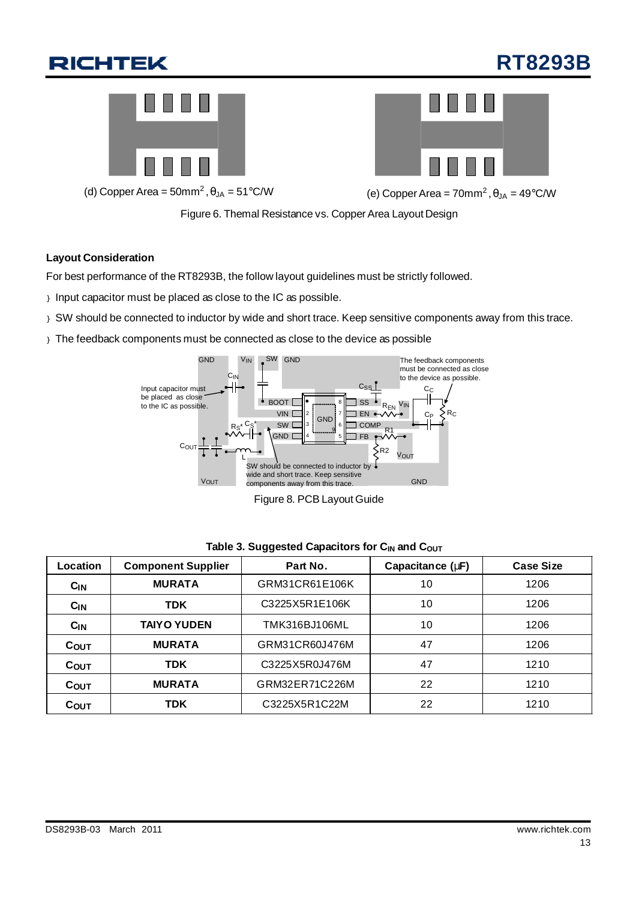# **RT8293B**





(d) Copper Area =  $50$ mm<sup>2</sup>,  $\theta_{JA} = 51^{\circ}$ C/W

,  $\theta_{JA} = 51^{\circ}$ C/W (e) Copper Area = 70mm<sup>2</sup>,  $\theta_{JA} = 49^{\circ}$ C/W

Figure 6. Themal Resistance vs. Copper Area Layout Design

#### **Layout Consideration**

For best performance of the RT8293B, the follow layout guidelines must be strictly followed.

- } Input capacitor must be placed as close to the IC as possible.
- } SW should be connected to inductor by wide and short trace. Keep sensitive components away from this trace.
- } The feedback components must be connected as close to the device as possible



Figure 8. PCB Layout Guide

| Location        | <b>Component Supplier</b> | Part No.       | Capacitance (mF) | <b>Case Size</b> |
|-----------------|---------------------------|----------------|------------------|------------------|
| C <sub>IN</sub> | <b>MURATA</b>             | GRM31CR61E106K | 10               | 1206             |
| $C_{IN}$        | <b>TDK</b>                | C3225X5R1E106K | 10               | 1206             |
| $C_{IN}$        | <b>TAIYO YUDEN</b>        | TMK316BJ106ML  | 10               | 1206             |
| <b>COUT</b>     | <b>MURATA</b>             | GRM31CR60J476M | 47               | 1206             |
| <b>COUT</b>     | <b>TDK</b>                | C3225X5R0J476M | 47               | 1210             |
| COUT            | <b>MURATA</b>             | GRM32ER71C226M | 22               | 1210             |
| $C_{OUT}$       | <b>TDK</b>                | C3225X5R1C22M  | 22               | 1210             |

#### **Table 3. Suggested Capacitors for C<sub>IN</sub> and C<sub>OUT</sub>**